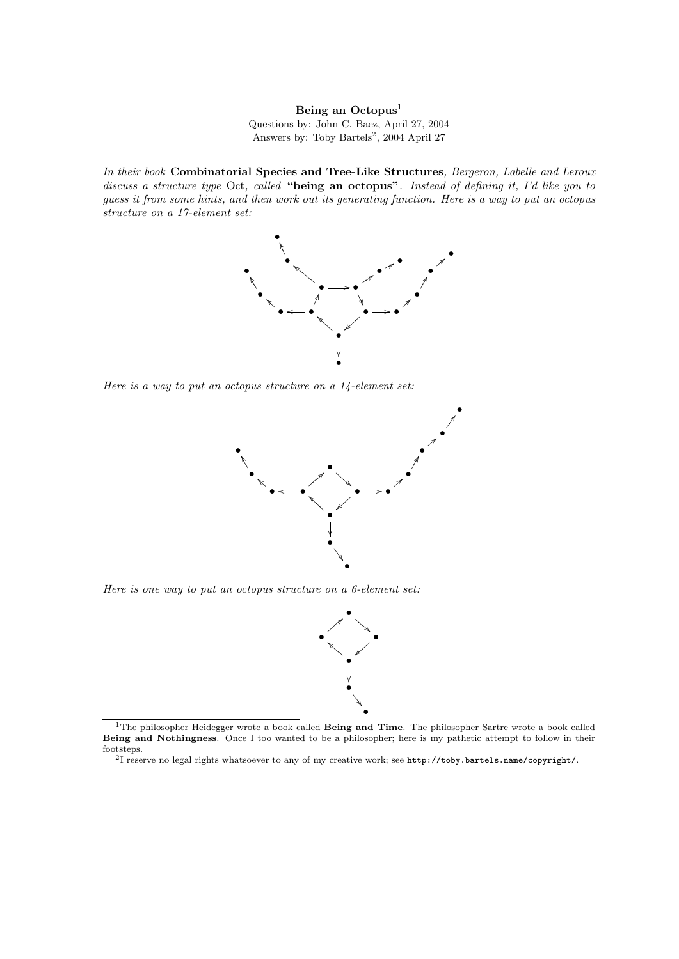Being an  $Octopus<sup>1</sup>$ Questions by: John C. Baez, April 27, 2004 Answers by: Toby Bartels<sup>2</sup>, 2004 April 27

In their book Combinatorial Species and Tree-Like Structures, Bergeron, Labelle and Leroux discuss a structure type Oct, called "being an octopus". Instead of defining it, I'd like you to guess it from some hints, and then work out its generating function. Here is a way to put an octopus structure on a 17-element set:



Here is a way to put an octopus structure on a 14-element set:



Here is one way to put an octopus structure on a 6-element set:



 $1$ The philosopher Heidegger wrote a book called Being and Time. The philosopher Sartre wrote a book called Being and Nothingness. Once I too wanted to be a philosopher; here is my pathetic attempt to follow in their footsteps. 2 I reserve no legal rights whatsoever to any of my creative work; see http://toby.bartels.name/copyright/.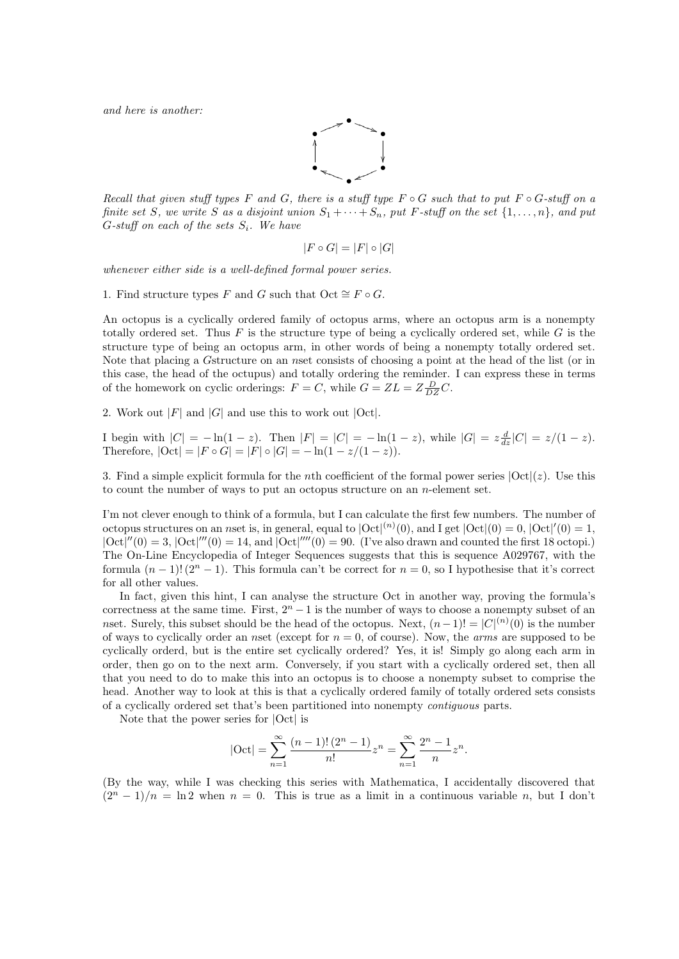and here is another:



Recall that given stuff types F and G, there is a stuff type  $F \circ G$  such that to put  $F \circ G$ -stuff on a finite set S, we write S as a disjoint union  $S_1 + \cdots + S_n$ , put F-stuff on the set  $\{1, \ldots, n\}$ , and put  $G$ -stuff on each of the sets  $S_i$ . We have

$$
|F \circ G| = |F| \circ |G|
$$

whenever either side is a well-defined formal power series.

1. Find structure types F and G such that  $Oct \cong F \circ G$ .

An octopus is a cyclically ordered family of octopus arms, where an octopus arm is a nonempty totally ordered set. Thus F is the structure type of being a cyclically ordered set, while G is the structure type of being an octopus arm, in other words of being a nonempty totally ordered set. Note that placing a Gstructure on an nset consists of choosing a point at the head of the list (or in this case, the head of the octupus) and totally ordering the reminder. I can express these in terms of the homework on cyclic orderings:  $F = C$ , while  $G = ZL = Z\frac{D}{DZ}C$ .

2. Work out  $|F|$  and  $|G|$  and use this to work out  $|Oct|$ .

I begin with  $|C| = -\ln(1-z)$ . Then  $|F| = |C| = -\ln(1-z)$ , while  $|G| = z \frac{d}{dz}|C| = z/(1-z)$ . Therefore,  $|\text{Oct}| = |F \circ G| = |F| \circ |G| = -\ln(1 - z/(1 - z)).$ 

3. Find a simple explicit formula for the *n*th coefficient of the formal power series  $|Oct|(z)$ . Use this to count the number of ways to put an octopus structure on an  $n$ -element set.

I'm not clever enough to think of a formula, but I can calculate the first few numbers. The number of octopus structures on an nset is, in general, equal to  $|\text{Oct}|^{(n)}(0)$ , and I get  $|\text{Oct}|(0) = 0$ ,  $|\text{Oct}|'(0) = 1$ ,  $|Oct|''(0) = 3$ ,  $|Oct|'''(0) = 14$ , and  $|Oct|'''(0) = 90$ . (I've also drawn and counted the first 18 octopi.) The On-Line Encyclopedia of Integer Sequences suggests that this is sequence A029767, with the formula  $(n-1)!$  ( $2^n-1$ ). This formula can't be correct for  $n=0$ , so I hypothesise that it's correct for all other values.

In fact, given this hint, I can analyse the structure Oct in another way, proving the formula's correctness at the same time. First,  $2<sup>n</sup> - 1$  is the number of ways to choose a nonempty subset of an nset. Surely, this subset should be the head of the octopus. Next,  $(n-1)! = |C|^{(n)}(0)$  is the number of ways to cyclically order an nset (except for  $n = 0$ , of course). Now, the *arms* are supposed to be cyclically orderd, but is the entire set cyclically ordered? Yes, it is! Simply go along each arm in order, then go on to the next arm. Conversely, if you start with a cyclically ordered set, then all that you need to do to make this into an octopus is to choose a nonempty subset to comprise the head. Another way to look at this is that a cyclically ordered family of totally ordered sets consists of a cyclically ordered set that's been partitioned into nonempty contiguous parts.

Note that the power series for |Oct| is

$$
|\mathrm{Oct}|=\sum_{n=1}^{\infty}\frac{(n-1)!\,(2^n-1)}{n!}z^n=\sum_{n=1}^{\infty}\frac{2^n-1}{n}z^n.
$$

(By the way, while I was checking this series with Mathematica, I accidentally discovered that  $(2^{n} - 1)/n = \ln 2$  when  $n = 0$ . This is true as a limit in a continuous variable n, but I don't